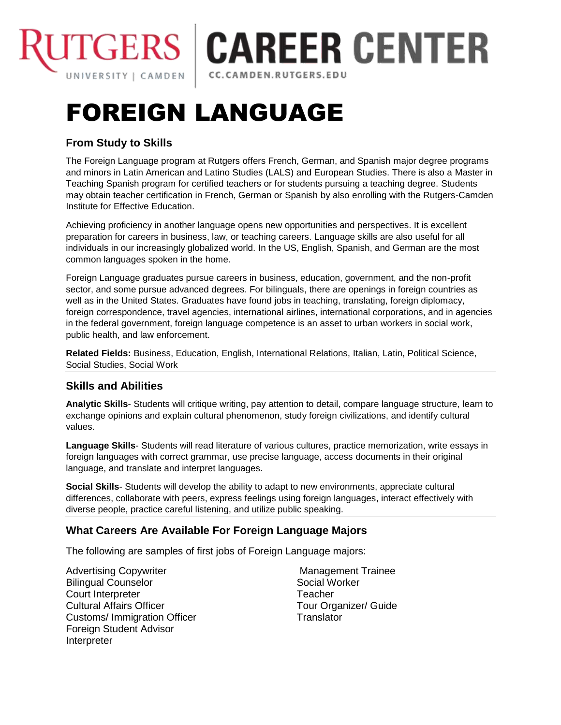

## **ITGERS | CAREER CENTER** CC.CAMDEN.RUTGERS.EDU

# FOREIGN LANGUAGE

### **From Study to Skills**

The Foreign Language program at Rutgers offers French, German, and Spanish major degree programs and minors in Latin American and Latino Studies (LALS) and European Studies. There is also a Master in Teaching Spanish program for certified teachers or for students pursuing a teaching degree. Students may obtain teacher certification in French, German or Spanish by also enrolling with the Rutgers-Camden Institute for Effective Education.

Achieving proficiency in another language opens new opportunities and perspectives. It is excellent preparation for careers in business, law, or teaching careers. Language skills are also useful for all individuals in our increasingly globalized world. In the US, English, Spanish, and German are the most common languages spoken in the home.

Foreign Language graduates pursue careers in business, education, government, and the non-profit sector, and some pursue advanced degrees. For bilinguals, there are openings in foreign countries as well as in the United States. Graduates have found jobs in teaching, translating, foreign diplomacy, foreign correspondence, travel agencies, international airlines, international corporations, and in agencies in the federal government, foreign language competence is an asset to urban workers in social work, public health, and law enforcement.

**Related Fields:** Business, Education, English, International Relations, Italian, Latin, Political Science, Social Studies, Social Work

#### **Skills and Abilities**

**Analytic Skills**- Students will critique writing, pay attention to detail, compare language structure, learn to exchange opinions and explain cultural phenomenon, study foreign civilizations, and identify cultural values.

**Language Skills**- Students will read literature of various cultures, practice memorization, write essays in foreign languages with correct grammar, use precise language, access documents in their original language, and translate and interpret languages.

**Social Skills**- Students will develop the ability to adapt to new environments, appreciate cultural differences, collaborate with peers, express feelings using foreign languages, interact effectively with diverse people, practice careful listening, and utilize public speaking.

#### **What Careers Are Available For Foreign Language Majors**

The following are samples of first jobs of Foreign Language majors:

Advertising Copywriter Bilingual Counselor Court Interpreter Cultural Affairs Officer Customs/ Immigration Officer Foreign Student Advisor **Interpreter** 

Management Trainee Social Worker **Teacher** Tour Organizer/ Guide **Translator**